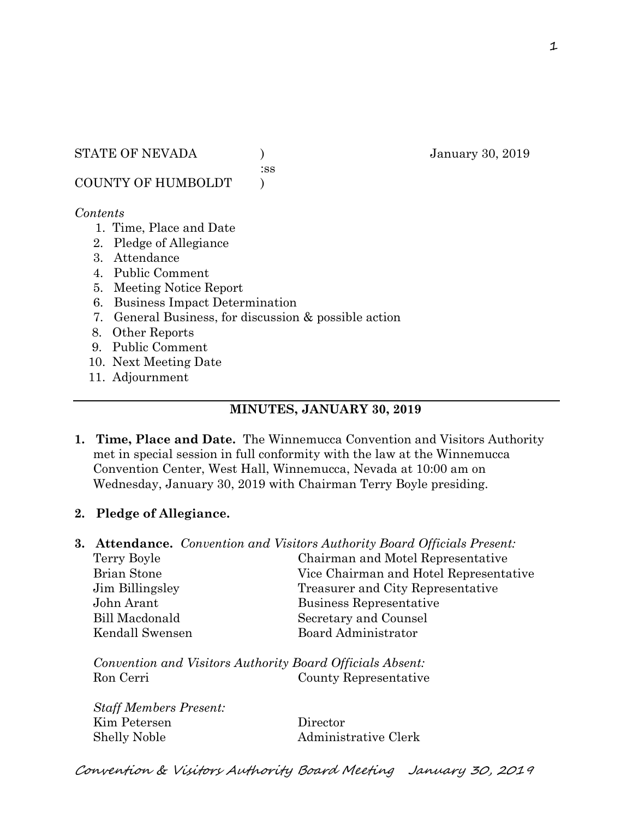:ss

COUNTY OF HUMBOLDT )

#### *Contents*

- 1. Time, Place and Date
- 2. Pledge of Allegiance
- 3. Attendance
- 4. Public Comment
- 5. Meeting Notice Report
- 6. Business Impact Determination
- 7. General Business, for discussion & possible action

8. Other Reports

- 9. Public Comment
- 10. Next Meeting Date
- 11. Adjournment

#### **MINUTES, JANUARY 30, 2019**

**1. Time, Place and Date.** The Winnemucca Convention and Visitors Authority met in special session in full conformity with the law at the Winnemucca Convention Center, West Hall, Winnemucca, Nevada at 10:00 am on Wednesday, January 30, 2019 with Chairman Terry Boyle presiding.

### **2. Pledge of Allegiance.**

**3. Attendance.** *Convention and Visitors Authority Board Officials Present:* 

| Terry Boyle        | Chairman and Motel Representative      |
|--------------------|----------------------------------------|
| <b>Brian Stone</b> | Vice Chairman and Hotel Representative |
| Jim Billingsley    | Treasurer and City Representative      |
| John Arant         | Business Representative                |
| Bill Macdonald     | Secretary and Counsel                  |
| Kendall Swensen    | Board Administrator                    |
|                    |                                        |

*Convention and Visitors Authority Board Officials Absent:*  Ron Cerri County Representative

*Staff Members Present:*  Kim Petersen Director Shelly Noble Administrative Clerk

STATE OF NEVADA (anuary 30, 2019)

Convention & Visitors Authority Board Meeting January 30, 2019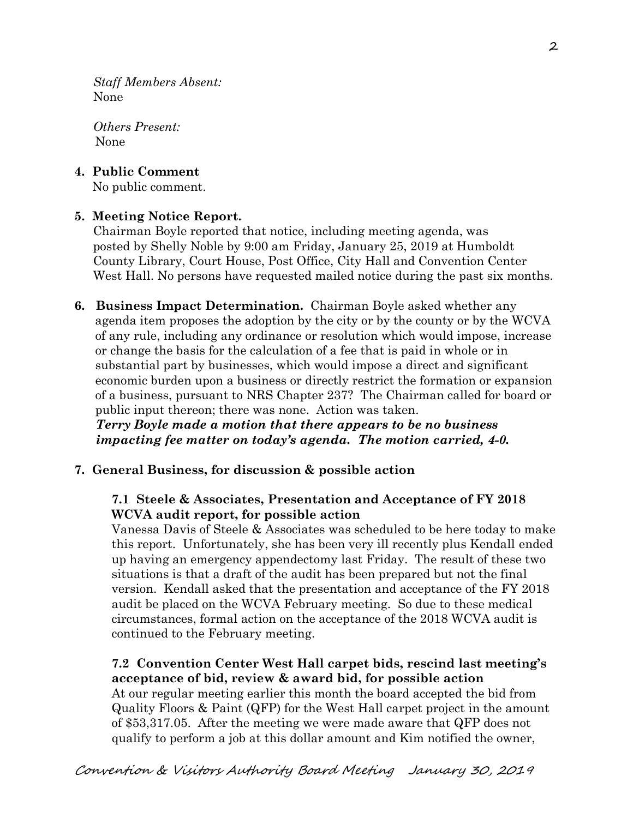*Staff Members Absent:*  None

*Others Present:*  None

**4. Public Comment** 

No public comment.

# **5. Meeting Notice Report.**

Chairman Boyle reported that notice, including meeting agenda, was posted by Shelly Noble by 9:00 am Friday, January 25, 2019 at Humboldt County Library, Court House, Post Office, City Hall and Convention Center West Hall. No persons have requested mailed notice during the past six months.

**6. Business Impact Determination.** Chairman Boyle asked whether any agenda item proposes the adoption by the city or by the county or by the WCVA of any rule, including any ordinance or resolution which would impose, increase or change the basis for the calculation of a fee that is paid in whole or in substantial part by businesses, which would impose a direct and significant economic burden upon a business or directly restrict the formation or expansion of a business, pursuant to NRS Chapter 237? The Chairman called for board or public input thereon; there was none. Action was taken.

 *Terry Boyle made a motion that there appears to be no business impacting fee matter on today's agenda. The motion carried, 4-0.* 

### **7. General Business, for discussion & possible action**

### **7.1 Steele & Associates, Presentation and Acceptance of FY 2018 WCVA audit report, for possible action**

Vanessa Davis of Steele & Associates was scheduled to be here today to make this report. Unfortunately, she has been very ill recently plus Kendall ended up having an emergency appendectomy last Friday. The result of these two situations is that a draft of the audit has been prepared but not the final version. Kendall asked that the presentation and acceptance of the FY 2018 audit be placed on the WCVA February meeting. So due to these medical circumstances, formal action on the acceptance of the 2018 WCVA audit is continued to the February meeting.

#### **7.2 Convention Center West Hall carpet bids, rescind last meeting's acceptance of bid, review & award bid, for possible action**

At our regular meeting earlier this month the board accepted the bid from Quality Floors & Paint (QFP) for the West Hall carpet project in the amount of \$53,317.05. After the meeting we were made aware that QFP does not qualify to perform a job at this dollar amount and Kim notified the owner,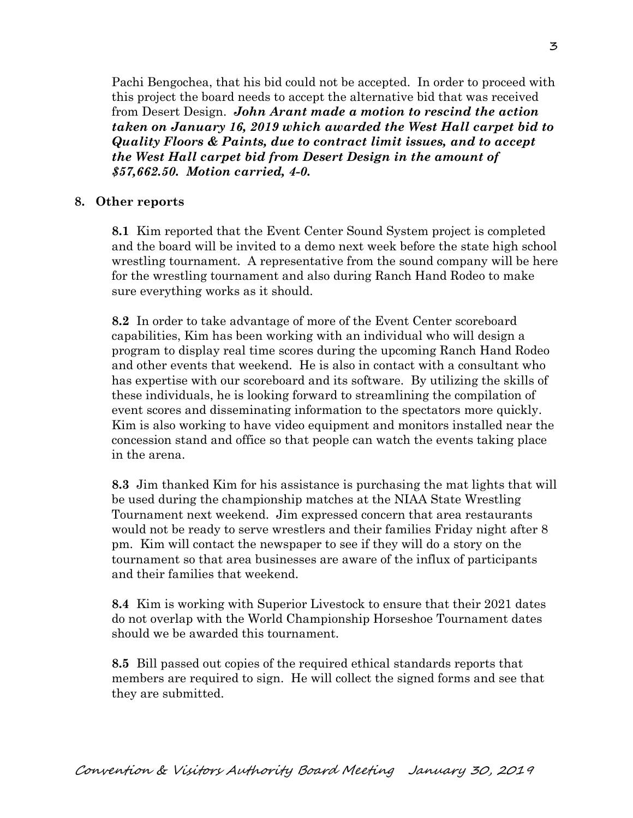Pachi Bengochea, that his bid could not be accepted. In order to proceed with this project the board needs to accept the alternative bid that was received from Desert Design. *John Arant made a motion to rescind the action taken on January 16, 2019 which awarded the West Hall carpet bid to Quality Floors & Paints, due to contract limit issues, and to accept the West Hall carpet bid from Desert Design in the amount of \$57,662.50. Motion carried, 4-0.* 

#### **8. Other reports**

**8.1** Kim reported that the Event Center Sound System project is completed and the board will be invited to a demo next week before the state high school wrestling tournament. A representative from the sound company will be here for the wrestling tournament and also during Ranch Hand Rodeo to make sure everything works as it should.

**8.2** In order to take advantage of more of the Event Center scoreboard capabilities, Kim has been working with an individual who will design a program to display real time scores during the upcoming Ranch Hand Rodeo and other events that weekend. He is also in contact with a consultant who has expertise with our scoreboard and its software. By utilizing the skills of these individuals, he is looking forward to streamlining the compilation of event scores and disseminating information to the spectators more quickly. Kim is also working to have video equipment and monitors installed near the concession stand and office so that people can watch the events taking place in the arena.

**8.3** Jim thanked Kim for his assistance is purchasing the mat lights that will be used during the championship matches at the NIAA State Wrestling Tournament next weekend. Jim expressed concern that area restaurants would not be ready to serve wrestlers and their families Friday night after 8 pm. Kim will contact the newspaper to see if they will do a story on the tournament so that area businesses are aware of the influx of participants and their families that weekend.

**8.4** Kim is working with Superior Livestock to ensure that their 2021 dates do not overlap with the World Championship Horseshoe Tournament dates should we be awarded this tournament.

**8.5** Bill passed out copies of the required ethical standards reports that members are required to sign. He will collect the signed forms and see that they are submitted.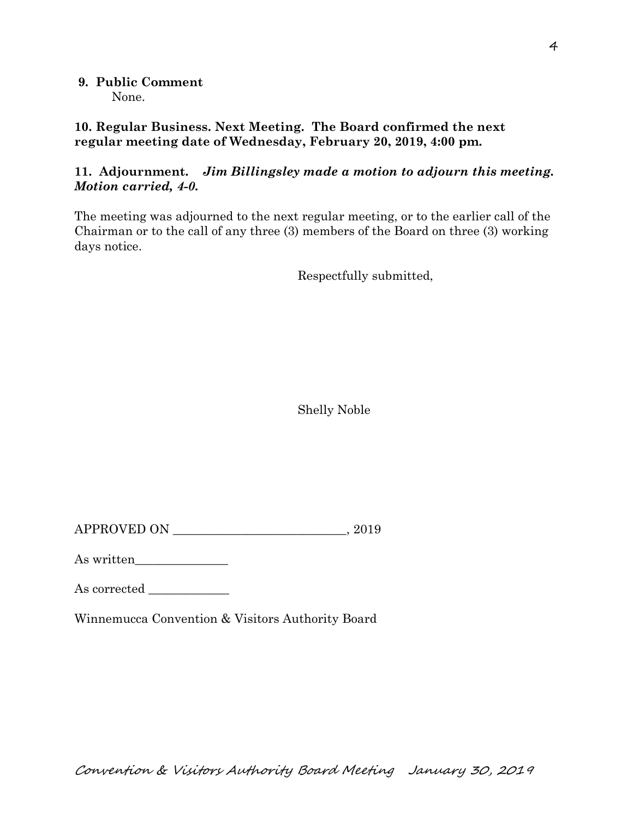**9. Public Comment**  None.

**10. Regular Business. Next Meeting. The Board confirmed the next regular meeting date of Wednesday, February 20, 2019, 4:00 pm.** 

## **11. Adjournment.** *Jim Billingsley made a motion to adjourn this meeting. Motion carried, 4-0.*

The meeting was adjourned to the next regular meeting, or to the earlier call of the Chairman or to the call of any three (3) members of the Board on three (3) working days notice.

Respectfully submitted,

Shelly Noble

 $APPROVED ON$ ,  $2019$ 

As written\_\_\_\_\_\_\_\_\_\_\_\_\_\_\_

As corrected \_\_\_\_\_\_\_\_\_\_\_\_\_

Winnemucca Convention & Visitors Authority Board